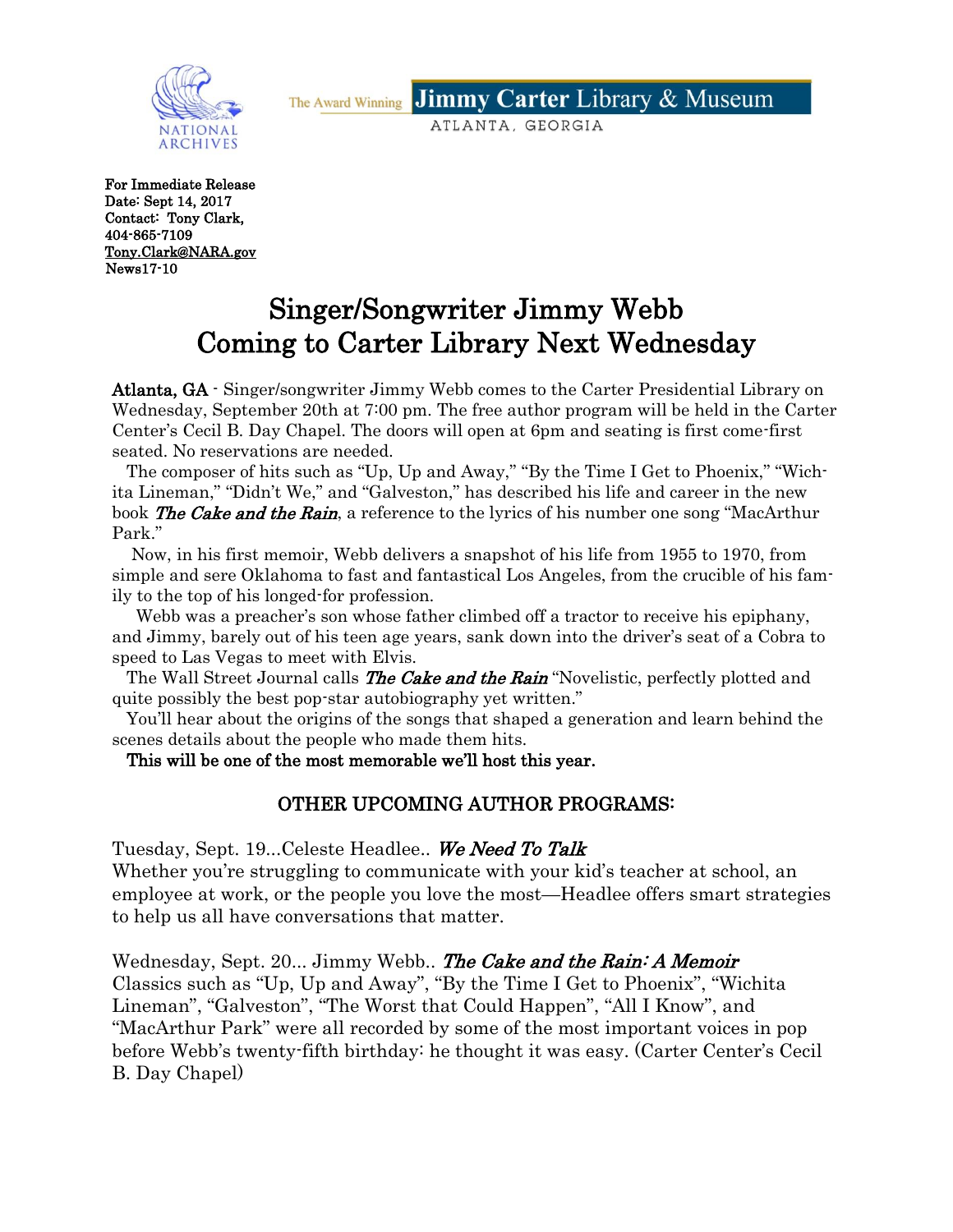**Jimmy Carter Library & Museum** The Award Winning

ATLANTA, GEORGIA



For Immediate Release Date: Sept 14, 2017 Contact: Tony Clark, 404-865-7109 [Tony.Clark@NARA.gov](mailto:Tony.Clark@NARA.gov)  News17-10

# Singer/Songwriter Jimmy Webb Coming to Carter Library Next Wednesday

Atlanta, GA - Singer/songwriter Jimmy Webb comes to the Carter Presidential Library on Wednesday, September 20th at 7:00 pm. The free author program will be held in the Carter Center's Cecil B. Day Chapel. The doors will open at 6pm and seating is first come-first seated. No reservations are needed.

 The composer of hits such as "Up, Up and Away," "By the Time I Get to Phoenix," "Wichita Lineman," "Didn't We," and "Galveston," has described his life and career in the new book The Cake and the Rain, a reference to the lyrics of his number one song "MacArthur" Park."

 Now, in his first memoir, Webb delivers a snapshot of his life from 1955 to 1970, from simple and sere Oklahoma to fast and fantastical Los Angeles, from the crucible of his family to the top of his longed-for profession.

 Webb was a preacher's son whose father climbed off a tractor to receive his epiphany, and Jimmy, barely out of his teen age years, sank down into the driver's seat of a Cobra to speed to Las Vegas to meet with Elvis.

The Wall Street Journal calls **The Cake and the Rain** "Novelistic, perfectly plotted and quite possibly the best pop-star autobiography yet written."

 You'll hear about the origins of the songs that shaped a generation and learn behind the scenes details about the people who made them hits.

This will be one of the most memorable we'll host this year.

## OTHER UPCOMING AUTHOR PROGRAMS:

Tuesday, Sept. 19...Celeste Headlee.. We Need To Talk

Whether you're struggling to communicate with your kid's teacher at school, an employee at work, or the people you love the most—Headlee offers smart strategies to help us all have conversations that matter.

Wednesday, Sept. 20... Jimmy Webb.. The Cake and the Rain: A Memoir Classics such as "Up, Up and Away", "By the Time I Get to Phoenix", "Wichita Lineman", "Galveston", "The Worst that Could Happen", "All I Know", and "MacArthur Park" were all recorded by some of the most important voices in pop before Webb's twenty-fifth birthday: he thought it was easy. (Carter Center's Cecil B. Day Chapel)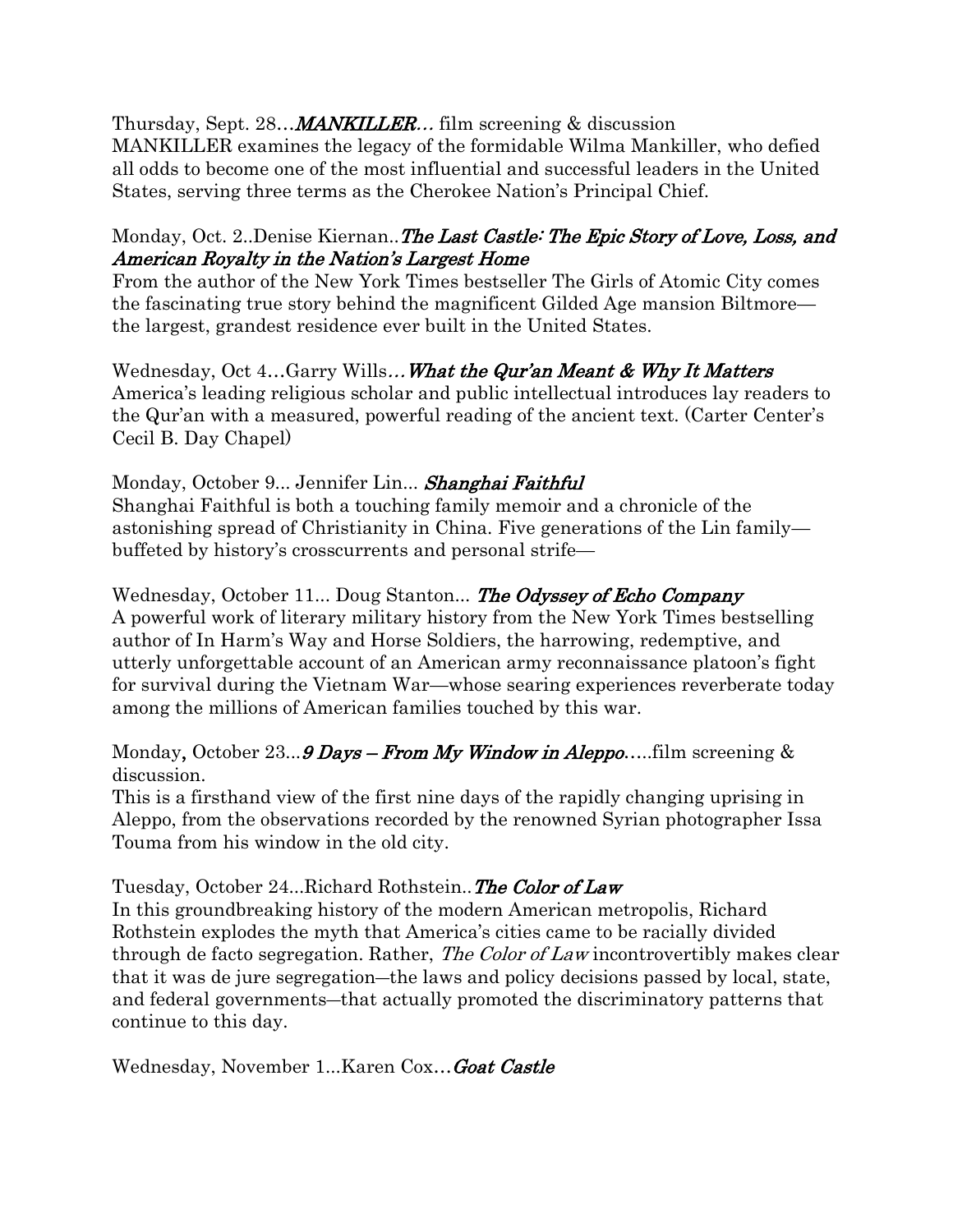Thursday, Sept. 28...*MANKILLER..*. film screening & discussion

MANKILLER examines the legacy of the formidable Wilma Mankiller, who defied all odds to become one of the most influential and successful leaders in the United States, serving three terms as the Cherokee Nation's Principal Chief.

#### Monday, Oct. 2..Denise Kiernan..*The Last Castle: The Epic Story of Love, Loss, and* American Royalty in the Nation's Largest Home

From the author of the New York Times bestseller The Girls of Atomic City comes the fascinating true story behind the magnificent Gilded Age mansion Biltmore the largest, grandest residence ever built in the United States.

Wednesday, Oct 4...Garry Wills... What the Qur'an Meant & Why It Matters America's leading religious scholar and public intellectual introduces lay readers to the Qur'an with a measured, powerful reading of the ancient text. (Carter Center's Cecil B. Day Chapel)

### Monday, October 9... Jennifer Lin... Shanghai Faithful

Shanghai Faithful is both a touching family memoir and a chronicle of the astonishing spread of Christianity in China. Five generations of the Lin family buffeted by history's crosscurrents and personal strife—

Wednesday, October 11... Doug Stanton... The Odyssey of Echo Company A powerful work of literary military history from the New York Times bestselling author of In Harm's Way and Horse Soldiers, the harrowing, redemptive, and utterly unforgettable account of an American army reconnaissance platoon's fight for survival during the Vietnam War—whose searing experiences reverberate today among the millions of American families touched by this war.

Monday, October 23... **9 Days – From My Window in Aleppo.** ... film screening  $\&$ discussion.

This is a firsthand view of the first nine days of the rapidly changing uprising in Aleppo, from the observations recorded by the renowned Syrian photographer Issa Touma from his window in the old city.

#### Tuesday, October 24...Richard Rothstein.. The Color of Law

In this groundbreaking history of the modern American metropolis, Richard Rothstein explodes the myth that America's cities came to be racially divided through de facto segregation. Rather, *The Color of Law* incontrovertibly makes clear that it was de jure segregation―the laws and policy decisions passed by local, state, and federal governments―that actually promoted the discriminatory patterns that continue to this day.

Wednesday, November 1...Karen Cox... Goat Castle